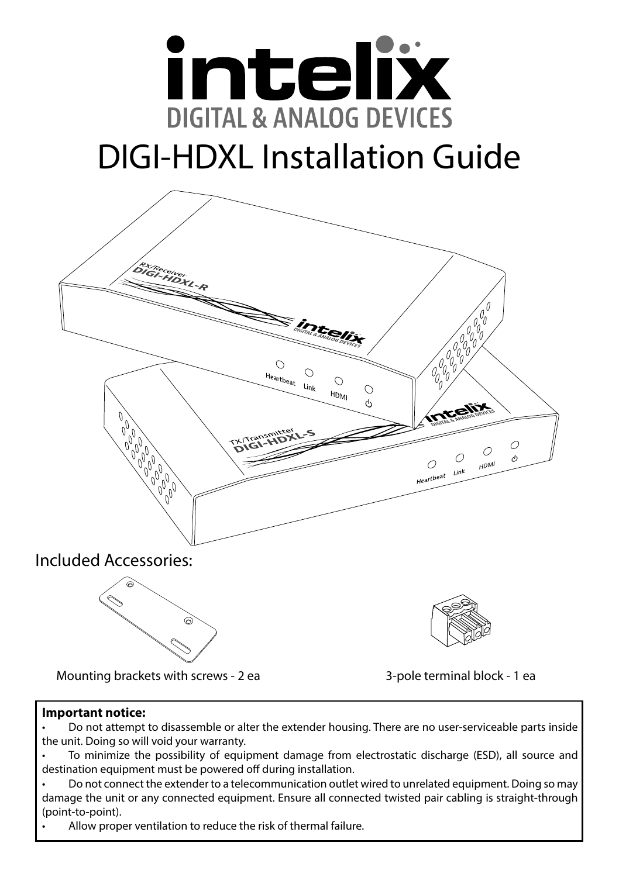

# DIGI-HDXL Installation Guide



Mounting brackets with screws - 2 ea 3-pole terminal block - 1 ea

#### **Important notice:**

• Do not attempt to disassemble or alter the extender housing. There are no user-serviceable parts inside the unit. Doing so will void your warranty.

• To minimize the possibility of equipment damage from electrostatic discharge (ESD), all source and destination equipment must be powered off during installation.

• Do not connect the extender to a telecommunication outlet wired to unrelated equipment. Doing so may damage the unit or any connected equipment. Ensure all connected twisted pair cabling is straight-through (point-to-point).

Allow proper ventilation to reduce the risk of thermal failure.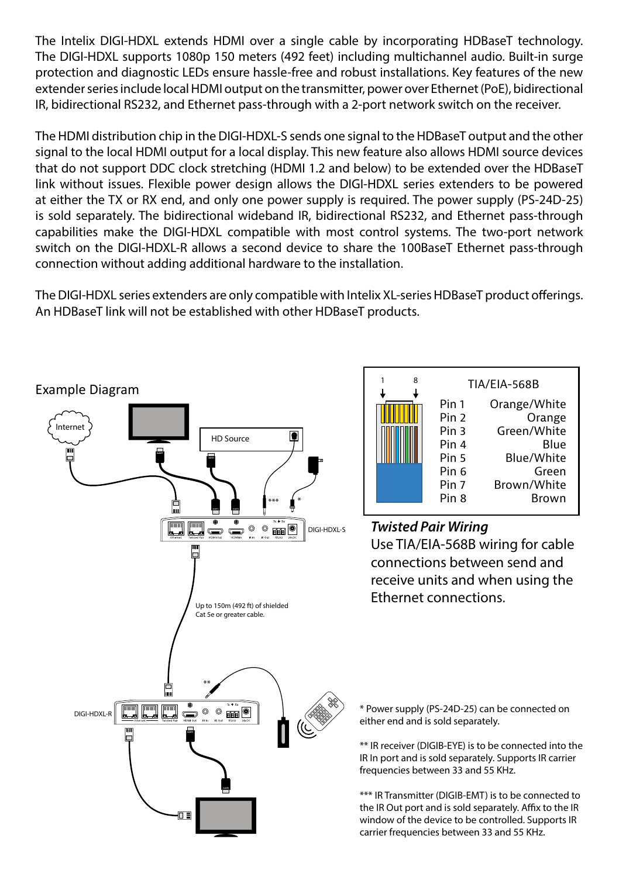The Intelix DIGI-HDXL extends HDMI over a single cable by incorporating HDBaseT technology. The DIGI-HDXL supports 1080p 150 meters (492 feet) including multichannel audio. Built-in surge protection and diagnostic LEDs ensure hassle-free and robust installations. Key features of the new extender series include local HDMI output on the transmitter, power over Ethernet (PoE), bidirectional IR, bidirectional RS232, and Ethernet pass-through with a 2-port network switch on the receiver.

The HDMI distribution chip in the DIGI-HDXL-S sends one signal to the HDBaseT output and the other signal to the local HDMI output for a local display. This new feature also allows HDMI source devices that do not support DDC clock stretching (HDMI 1.2 and below) to be extended over the HDBaseT link without issues. Flexible power design allows the DIGI-HDXL series extenders to be powered at either the TX or RX end, and only one power supply is required. The power supply (PS-24D-25) is sold separately. The bidirectional wideband IR, bidirectional RS232, and Ethernet pass-through capabilities make the DIGI-HDXL compatible with most control systems. The two-port network switch on the DIGI-HDXL-R allows a second device to share the 100BaseT Ethernet pass-through connection without adding additional hardware to the installation.

The DIGI-HDXL series extenders are only compatible with Intelix XL-series HDBaseT product offerings. An HDBaseT link will not be established with other HDBaseT products.

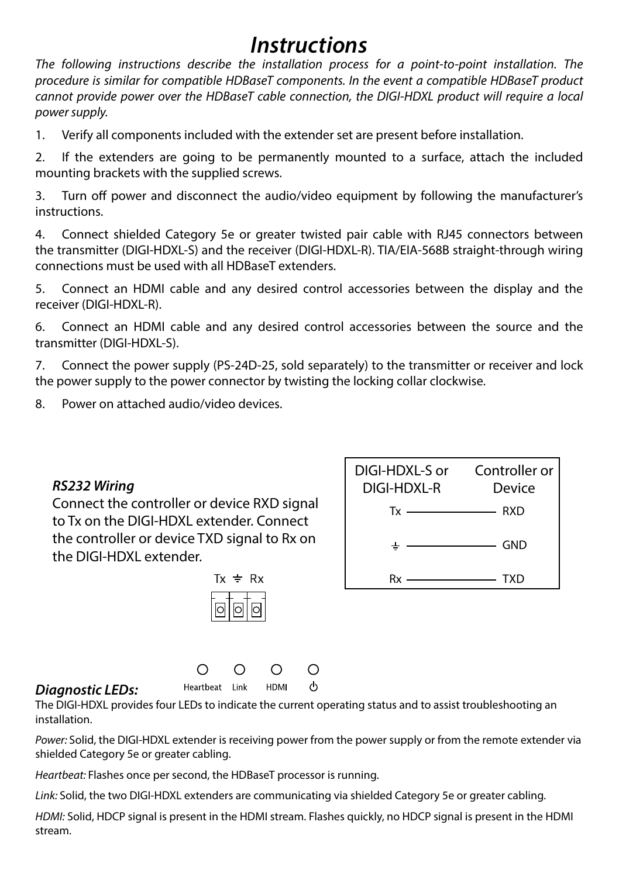## *Instructions*

*The following instructions describe the installation process for a point-to-point installation. The procedure is similar for compatible HDBaseT components. In the event a compatible HDBaseT product cannot provide power over the HDBaseT cable connection, the DIGI-HDXL product will require a local power supply.*

1. Verify all components included with the extender set are present before installation.

2. If the extenders are going to be permanently mounted to a surface, attach the included mounting brackets with the supplied screws.

3. Turn off power and disconnect the audio/video equipment by following the manufacturer's instructions.

4. Connect shielded Category 5e or greater twisted pair cable with RJ45 connectors between the transmitter (DIGI-HDXL-S) and the receiver (DIGI-HDXL-R). TIA/EIA-568B straight-through wiring connections must be used with all HDBaseT extenders.

5. Connect an HDMI cable and any desired control accessories between the display and the receiver (DIGI-HDXL-R).

6. Connect an HDMI cable and any desired control accessories between the source and the transmitter (DIGI-HDXL-S).

7. Connect the power supply (PS-24D-25, sold separately) to the transmitter or receiver and lock the power supply to the power connector by twisting the locking collar clockwise.

8. Power on attached audio/video devices.

#### *RS232 Wiring*

Connect the controller or device RXD signal to Tx on the DIGI-HDXL extender. Connect the controller or device TXD signal to Rx on the DIGI-HDXL extender.



 $\circ$ 

| DIGI-HDXI -S or Controller or<br>DIGI-HDXI -R | Device                       |
|-----------------------------------------------|------------------------------|
| $Tx \longrightarrow RXD$                      |                              |
| ᆂ                                             | $\overline{\phantom{a}}$ GND |
|                                               | $\overline{\phantom{a}}$ TXD |

#### *Diagnostic LEDs:*

The DIGI-HDXL provides four LEDs to indicate the current operating status and to assist troubleshooting an installation.

O

HDMI

*Power:* Solid, the DIGI-HDXL extender is receiving power from the power supply or from the remote extender via shielded Category 5e or greater cabling.

Ω

*Heartbeat:* Flashes once per second, the HDBaseT processor is running.

∩

Heartbeat Link

*Link:* Solid, the two DIGI-HDXL extenders are communicating via shielded Category 5e or greater cabling.

*HDMI:* Solid, HDCP signal is present in the HDMI stream. Flashes quickly, no HDCP signal is present in the HDMI stream.